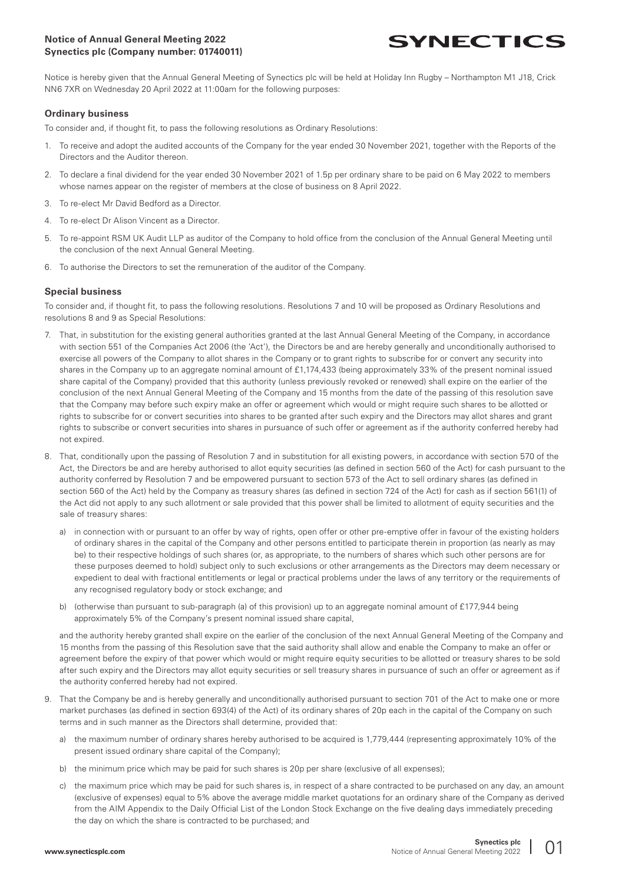# **Notice of Annual General Meeting 2022 Synectics plc (Company number: 01740011)**



Notice is hereby given that the Annual General Meeting of Synectics plc will be held at Holiday Inn Rugby – Northampton M1 J18, Crick NN6 7XR on Wednesday 20 April 2022 at 11:00am for the following purposes:

#### **Ordinary business**

To consider and, if thought fit, to pass the following resolutions as Ordinary Resolutions:

- 1. To receive and adopt the audited accounts of the Company for the year ended 30 November 2021, together with the Reports of the Directors and the Auditor thereon.
- 2. To declare a final dividend for the year ended 30 November 2021 of 1.5p per ordinary share to be paid on 6 May 2022 to members whose names appear on the register of members at the close of business on 8 April 2022.
- 3. To re-elect Mr David Bedford as a Director.
- 4. To re-elect Dr Alison Vincent as a Director.
- 5. To re-appoint RSM UK Audit LLP as auditor of the Company to hold office from the conclusion of the Annual General Meeting until the conclusion of the next Annual General Meeting.
- 6. To authorise the Directors to set the remuneration of the auditor of the Company.

## **Special business**

To consider and, if thought fit, to pass the following resolutions. Resolutions 7 and 10 will be proposed as Ordinary Resolutions and resolutions 8 and 9 as Special Resolutions:

- 7. That, in substitution for the existing general authorities granted at the last Annual General Meeting of the Company, in accordance with section 551 of the Companies Act 2006 (the 'Act'), the Directors be and are hereby generally and unconditionally authorised to exercise all powers of the Company to allot shares in the Company or to grant rights to subscribe for or convert any security into shares in the Company up to an aggregate nominal amount of £1,174,433 (being approximately 33% of the present nominal issued share capital of the Company) provided that this authority (unless previously revoked or renewed) shall expire on the earlier of the conclusion of the next Annual General Meeting of the Company and 15 months from the date of the passing of this resolution save that the Company may before such expiry make an offer or agreement which would or might require such shares to be allotted or rights to subscribe for or convert securities into shares to be granted after such expiry and the Directors may allot shares and grant rights to subscribe or convert securities into shares in pursuance of such offer or agreement as if the authority conferred hereby had not expired.
- 8. That, conditionally upon the passing of Resolution 7 and in substitution for all existing powers, in accordance with section 570 of the Act, the Directors be and are hereby authorised to allot equity securities (as defined in section 560 of the Act) for cash pursuant to the authority conferred by Resolution 7 and be empowered pursuant to section 573 of the Act to sell ordinary shares (as defined in section 560 of the Act) held by the Company as treasury shares (as defined in section 724 of the Act) for cash as if section 561(1) of the Act did not apply to any such allotment or sale provided that this power shall be limited to allotment of equity securities and the sale of treasury shares:
	- a) in connection with or pursuant to an offer by way of rights, open offer or other pre-emptive offer in favour of the existing holders of ordinary shares in the capital of the Company and other persons entitled to participate therein in proportion (as nearly as may be) to their respective holdings of such shares (or, as appropriate, to the numbers of shares which such other persons are for these purposes deemed to hold) subject only to such exclusions or other arrangements as the Directors may deem necessary or expedient to deal with fractional entitlements or legal or practical problems under the laws of any territory or the requirements of any recognised regulatory body or stock exchange; and
	- b) (otherwise than pursuant to sub-paragraph (a) of this provision) up to an aggregate nominal amount of £177,944 being approximately 5% of the Company's present nominal issued share capital,

 and the authority hereby granted shall expire on the earlier of the conclusion of the next Annual General Meeting of the Company and 15 months from the passing of this Resolution save that the said authority shall allow and enable the Company to make an offer or agreement before the expiry of that power which would or might require equity securities to be allotted or treasury shares to be sold after such expiry and the Directors may allot equity securities or sell treasury shares in pursuance of such an offer or agreement as if the authority conferred hereby had not expired.

- 9. That the Company be and is hereby generally and unconditionally authorised pursuant to section 701 of the Act to make one or more market purchases (as defined in section 693(4) of the Act) of its ordinary shares of 20p each in the capital of the Company on such terms and in such manner as the Directors shall determine, provided that:
	- a) the maximum number of ordinary shares hereby authorised to be acquired is 1,779,444 (representing approximately 10% of the present issued ordinary share capital of the Company);
	- b) the minimum price which may be paid for such shares is 20p per share (exclusive of all expenses);
	- c) the maximum price which may be paid for such shares is, in respect of a share contracted to be purchased on any day, an amount (exclusive of expenses) equal to 5% above the average middle market quotations for an ordinary share of the Company as derived from the AIM Appendix to the Daily Official List of the London Stock Exchange on the five dealing days immediately preceding the day on which the share is contracted to be purchased; and